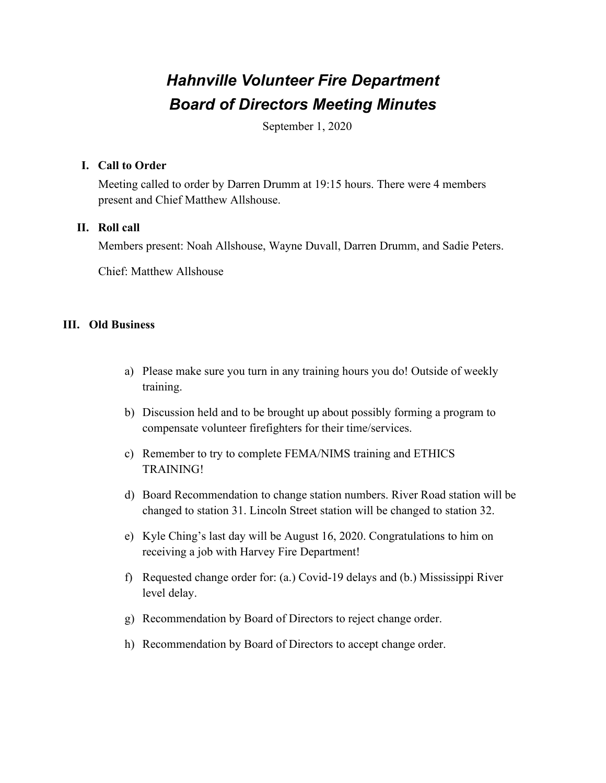# *Hahnville Volunteer Fire Department Board of Directors Meeting Minutes*

September 1, 2020

### **I. Call to Order**

Meeting called to order by Darren Drumm at 19:15 hours. There were 4 members present and Chief Matthew Allshouse.

### **II. Roll call**

Members present: Noah Allshouse, Wayne Duvall, Darren Drumm, and Sadie Peters.

Chief: Matthew Allshouse

### **III. Old Business**

- a) Please make sure you turn in any training hours you do! Outside of weekly training.
- b) Discussion held and to be brought up about possibly forming a program to compensate volunteer firefighters for their time/services.
- c) Remember to try to complete FEMA/NIMS training and ETHICS TRAINING!
- d) Board Recommendation to change station numbers. River Road station will be changed to station 31. Lincoln Street station will be changed to station 32.
- e) Kyle Ching's last day will be August 16, 2020. Congratulations to him on receiving a job with Harvey Fire Department!
- f) Requested change order for: (a.) Covid-19 delays and (b.) Mississippi River level delay.
- g) Recommendation by Board of Directors to reject change order.
- h) Recommendation by Board of Directors to accept change order.